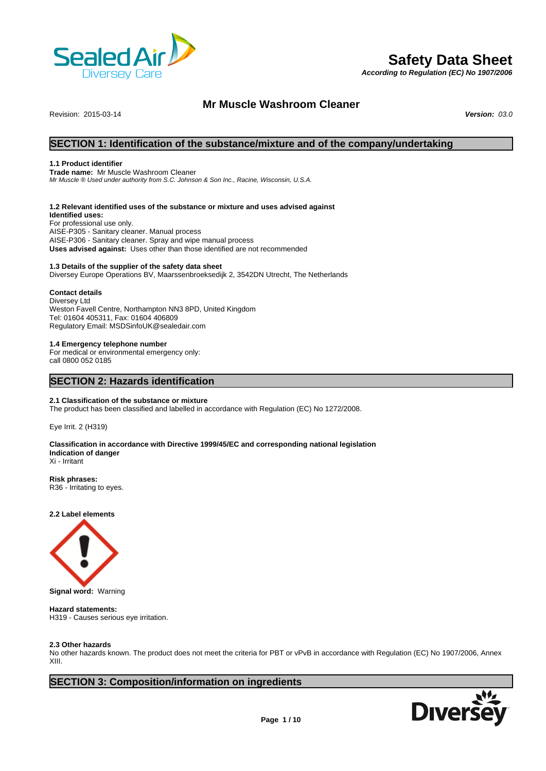

# **Safety Data Sheet**

*According to Regulation (EC) No 1907/2006*

### **Mr Muscle Washroom Cleaner**

Revision: 2015-03-14 *Version: 03.0*

### **SECTION 1: Identification of the substance/mixture and of the company/undertaking**

#### **1.1 Product identifier**

**Trade name:** Mr Muscle Washroom Cleaner *Mr Muscle ® Used under authority from S.C. Johnson & Son Inc., Racine, Wisconsin, U.S.A.*

#### **1.2 Relevant identified uses of the substance or mixture and uses advised against**

**Identified uses:** For professional use only. AISE-P305 - Sanitary cleaner. Manual process AISE-P306 - Sanitary cleaner. Spray and wipe manual process **Uses advised against:** Uses other than those identified are not recommended

#### **1.3 Details of the supplier of the safety data sheet**

Diversey Europe Operations BV, Maarssenbroeksedijk 2, 3542DN Utrecht, The Netherlands

#### **Contact details**

Diversey Ltd Weston Favell Centre, Northampton NN3 8PD, United Kingdom Tel: 01604 405311, Fax: 01604 406809 Regulatory Email: MSDSinfoUK@sealedair.com

#### **1.4 Emergency telephone number**

For medical or environmental emergency only: call 0800 052 0185

### **SECTION 2: Hazards identification**

#### **2.1 Classification of the substance or mixture**

The product has been classified and labelled in accordance with Regulation (EC) No 1272/2008.

Eye Irrit. 2 (H319)

#### **Classification in accordance with Directive 1999/45/EC and corresponding national legislation Indication of danger** Xi - Irritant

**Risk phrases:** R36 - Irritating to eyes.

**2.2 Label elements**



**Signal word:** Warning

### **Hazard statements:**

H319 - Causes serious eye irritation.

#### **2.3 Other hazards**

No other hazards known. The product does not meet the criteria for PBT or vPvB in accordance with Regulation (EC) No 1907/2006, Annex XIII.

### **SECTION 3: Composition/information on ingredients**

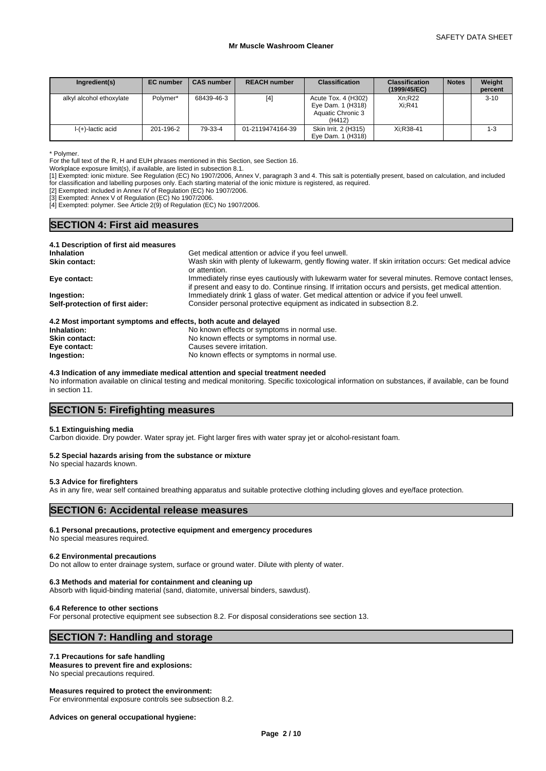| Ingredient(s)            | <b>EC</b> number | <b>CAS number</b> | <b>REACH number</b> | <b>Classification</b>                                                   | <b>Classification</b><br>(1999/45/EC) | <b>Notes</b> | Weight<br>percent |
|--------------------------|------------------|-------------------|---------------------|-------------------------------------------------------------------------|---------------------------------------|--------------|-------------------|
| alkyl alcohol ethoxylate | Polymer*         | 68439-46-3        | $[4]$               | Acute Tox. 4 (H302)<br>Eye Dam. 1 (H318)<br>Aquatic Chronic 3<br>(H412) | Xn:R22<br>Xi:R41                      |              | $3 - 10$          |
| I-(+)-lactic acid        | 201-196-2        | 79-33-4           | 01-2119474164-39    | Skin Irrit. 2 (H315)<br>Eye Dam. 1 (H318)                               | Xi:R38-41                             |              | 1-3               |

\* Polymer.

For the full text of the R, H and EUH phrases mentioned in this Section, see Section 16.

Workplace exposure limit(s), if available, are listed in subsection 8.1.

[1] Exempted: ionic mixture. See Regulation (EC) No 1907/2006, Annex V, paragraph 3 and 4. This salt is potentially present, based on calculation, and included for classification and labelling purposes only. Each starting material of the ionic mixture is registered, as required.

[2] Exempted: included in Annex IV of Regulation (EC) No 1907/2006.

[3] Exempted: Annex V of Regulation (EC) No 1907/2006.

[4] Exempted: polymer. See Article 2(9) of Regulation (EC) No 1907/2006.

### **SECTION 4: First aid measures**

| 4.1 Description of first aid measures |                                                                                                                                                                                                             |
|---------------------------------------|-------------------------------------------------------------------------------------------------------------------------------------------------------------------------------------------------------------|
| <b>Inhalation</b>                     | Get medical attention or advice if you feel unwell.                                                                                                                                                         |
| <b>Skin contact:</b>                  | Wash skin with plenty of lukewarm, gently flowing water. If skin irritation occurs: Get medical advice<br>or attention.                                                                                     |
| Eye contact:                          | Immediately rinse eyes cautiously with lukewarm water for several minutes. Remove contact lenses,<br>if present and easy to do. Continue rinsing. If irritation occurs and persists, get medical attention. |
| Ingestion:                            | Immediately drink 1 glass of water. Get medical attention or advice if you feel unwell.                                                                                                                     |
| Self-protection of first aider:       | Consider personal protective equipment as indicated in subsection 8.2.                                                                                                                                      |
|                                       |                                                                                                                                                                                                             |

#### **4.2 Most important symptoms and effects, both acute and delayed**

| Inhalation:          | No known effects or symptoms in normal use. |
|----------------------|---------------------------------------------|
| <b>Skin contact:</b> | No known effects or symptoms in normal use. |
| Eye contact:         | Causes severe irritation.                   |
| Ingestion:           | No known effects or symptoms in normal use. |

#### **4.3 Indication of any immediate medical attention and special treatment needed**

No information available on clinical testing and medical monitoring. Specific toxicological information on substances, if available, can be found in section 11.

## **SECTION 5: Firefighting measures**

#### **5.1 Extinguishing media**

Carbon dioxide. Dry powder. Water spray jet. Fight larger fires with water spray jet or alcohol-resistant foam.

#### **5.2 Special hazards arising from the substance or mixture**

No special hazards known.

#### **5.3 Advice for firefighters**

As in any fire, wear self contained breathing apparatus and suitable protective clothing including gloves and eye/face protection.

### **SECTION 6: Accidental release measures**

#### **6.1 Personal precautions, protective equipment and emergency procedures**

No special measures required.

#### **6.2 Environmental precautions**

Do not allow to enter drainage system, surface or ground water. Dilute with plenty of water.

#### **6.3 Methods and material for containment and cleaning up**

Absorb with liquid-binding material (sand, diatomite, universal binders, sawdust).

#### **6.4 Reference to other sections**

For personal protective equipment see subsection 8.2. For disposal considerations see section 13.

### **SECTION 7: Handling and storage**

#### **7.1 Precautions for safe handling**

**Measures to prevent fire and explosions:** No special precautions required.

#### **Measures required to protect the environment:**

For environmental exposure controls see subsection 8.2.

**Advices on general occupational hygiene:**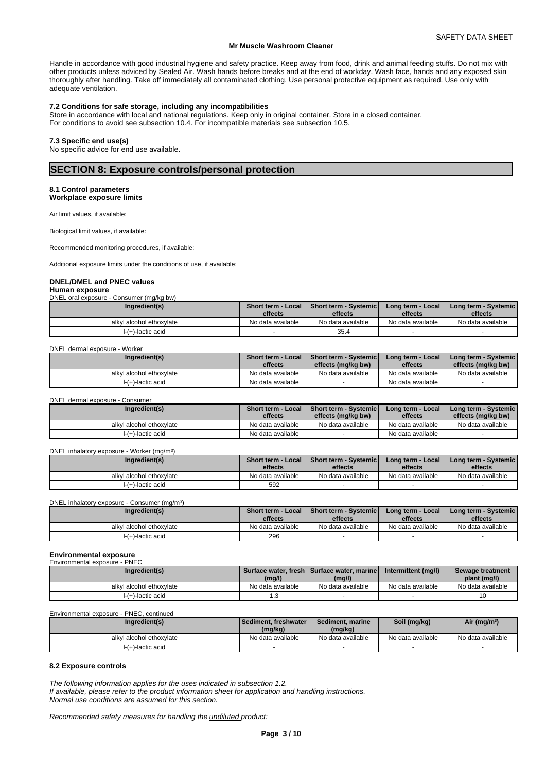Handle in accordance with good industrial hygiene and safety practice. Keep away from food, drink and animal feeding stuffs. Do not mix with other products unless adviced by Sealed Air. Wash hands before breaks and at the end of workday. Wash face, hands and any exposed skin thoroughly after handling. Take off immediately all contaminated clothing. Use personal protective equipment as required. Use only with adequate ventilation.

#### **7.2 Conditions for safe storage, including any incompatibilities**

Store in accordance with local and national regulations. Keep only in original container. Store in a closed container. For conditions to avoid see subsection 10.4. For incompatible materials see subsection 10.5.

#### **7.3 Specific end use(s)**

No specific advice for end use available.

### **SECTION 8: Exposure controls/personal protection**

#### **8.1 Control parameters Workplace exposure limits**

Air limit values, if available:

Biological limit values, if available:

Recommended monitoring procedures, if available:

Additional exposure limits under the conditions of use, if available:

#### **DNEL/DMEL and PNEC values**

#### **Human exposure**

| DNEL oral exposure - Consumer (mg/kg bw) |  |
|------------------------------------------|--|
|                                          |  |

| Ingredient(s)            | Short term - Local<br>effects | <b>Short term - Systemicl</b><br>effects | Long term - Local<br>effects | Long term - Svstemic  <br>effects |
|--------------------------|-------------------------------|------------------------------------------|------------------------------|-----------------------------------|
| alkyl alcohol ethoxylate | No data available             | No data available                        | No data available            | No data available                 |
| I-(+)-lactic acid        |                               | 35.4                                     |                              |                                   |

#### DNEL dermal exposure - Worker

| Ingredient(s)            | <b>Short term - Local</b><br>effects | <b>Short term - Systemic</b><br>effects (mg/kg bw) | Long term - Local<br>effects | Long term - Systemic  <br>effects (mg/kg bw) |
|--------------------------|--------------------------------------|----------------------------------------------------|------------------------------|----------------------------------------------|
| alkyl alcohol ethoxylate | No data available                    | No data available                                  | No data available            | No data available                            |
| I-(+)-lactic acid        | No data available                    |                                                    | No data available            |                                              |

#### DNEL dermal exposure - Consumer

| Ingredient(s)            | Short term - Local<br>effects | <b>Short term - Systemic</b><br>effects (mg/kg bw) | Long term - Local<br>effects | <b>I Long term - Systemic I</b><br>effects (mg/kg bw) |
|--------------------------|-------------------------------|----------------------------------------------------|------------------------------|-------------------------------------------------------|
| alkyl alcohol ethoxylate | No data available             | No data available                                  | No data available            | No data available                                     |
| I-(+)-lactic acid        | No data available             |                                                    | No data available            |                                                       |

#### DNEL inhalatory exposure - Worker (mg/m<sup>3</sup>

| Ingredient(s)            | <b>Short term - Local</b><br>effects | <b>Short term - Systemic</b><br>effects | Long term - Local<br>effects | I Long term - Systemic I<br>effects |
|--------------------------|--------------------------------------|-----------------------------------------|------------------------------|-------------------------------------|
| alkyl alcohol ethoxylate | No data available                    | No data available                       | No data available            | No data available                   |
| I-(+)-lactic acid        | 592                                  |                                         |                              |                                     |

#### DNEL inhalatory exposure - Consumer (mg/m<sup>3</sup>)

| Ingredient(s)            | Short term - Local<br>effects | <b>Short term - Systemic</b><br>effects | Long term - Local<br>effects | <b>I Long term - Systemic I</b><br>effects |
|--------------------------|-------------------------------|-----------------------------------------|------------------------------|--------------------------------------------|
| alkyl alcohol ethoxylate | No data available             | No data available                       | No data available            | No data available                          |
| I-(+)-lactic acid        | 296                           |                                         |                              |                                            |

### **Environmental exposure**

| Environmental exposure - PNEC |                   |                                            |                     |                   |
|-------------------------------|-------------------|--------------------------------------------|---------------------|-------------------|
| Ingredient(s)                 |                   | Surface water, fresh Surface water, marine | Intermittent (mg/l) | Sewage treatment  |
|                               | (mg/l)            | (mg/l)                                     |                     | plant (mg/l)      |
| alkvl alcohol ethoxvlate      | No data available | No data available                          | No data available   | No data available |
| l-(+)-lactic acid             | l.3               |                                            |                     | 10                |

Environmental exposure - PNEC, continued

| Ingredient(s)            | <b>Sediment, freshwater I</b><br>(mg/kg) | Sediment, marine<br>(mg/kg) | Soil (mg/kg)      | Air (mg/m <sup>3</sup> ) |
|--------------------------|------------------------------------------|-----------------------------|-------------------|--------------------------|
| alkyl alcohol ethoxylate | No data available                        | No data available           | No data available | No data available        |
| I-(+)-lactic acid        |                                          |                             |                   |                          |

#### **8.2 Exposure controls**

*The following information applies for the uses indicated in subsection 1.2.*

*If available, please refer to the product information sheet for application and handling instructions. Normal use conditions are assumed for this section.*

 $)$ 

 $)$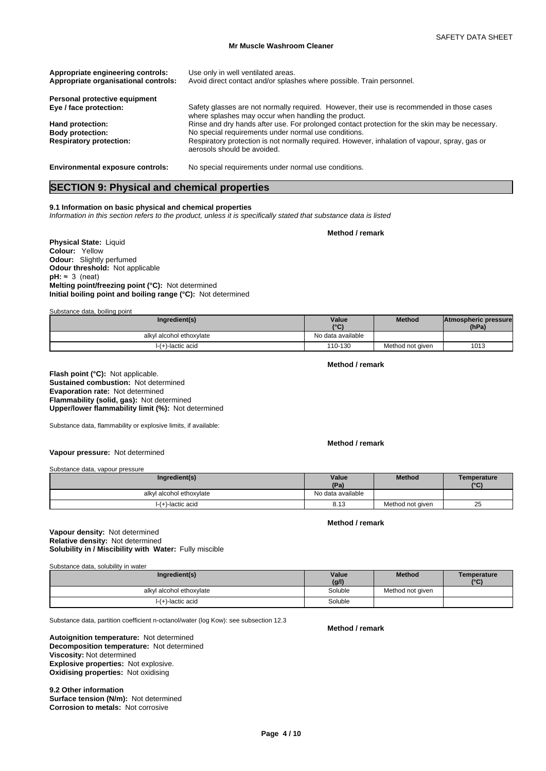| Appropriate engineering controls:<br>Appropriate organisational controls: | Use only in well ventilated areas.<br>Avoid direct contact and/or splashes where possible. Train personnel.                                       |
|---------------------------------------------------------------------------|---------------------------------------------------------------------------------------------------------------------------------------------------|
| Personal protective equipment                                             |                                                                                                                                                   |
| Eye / face protection:                                                    | Safety glasses are not normally required. However, their use is recommended in those cases<br>where splashes may occur when handling the product. |
| Hand protection:                                                          | Rinse and dry hands after use. For prolonged contact protection for the skin may be necessary.                                                    |
| <b>Body protection:</b>                                                   | No special requirements under normal use conditions.                                                                                              |
| <b>Respiratory protection:</b>                                            | Respiratory protection is not normally required. However, inhalation of vapour, spray, gas or<br>aerosols should be avoided.                      |
| <b>Environmental exposure controls:</b>                                   | No special requirements under normal use conditions.                                                                                              |

### **SECTION 9: Physical and chemical properties**

### **9.1 Information on basic physical and chemical properties**

*Information in this section refers to the product, unless it is specifically stated that substance data is listed*

**Method / remark**

**Physical State:** Liquid **Colour:** Yellow **Odour:** Slightly perfumed **Odour threshold:** Not applicable  $pH: \approx 3$  (neat) **Melting point/freezing point (°C):** Not determined **Initial boiling point and boiling range (°C):** Not determined

Substance data, boiling point

| Ingredient(s)            | Value<br>$\sim$   | Method           | Atmospheric pressure<br>(hPa) |  |
|--------------------------|-------------------|------------------|-------------------------------|--|
| alkyl alcohol ethoxylate | No data available |                  |                               |  |
| $I-(+)$ -lactic acid     | 110-130           | Method not given | 1013                          |  |

**Method / remark**

**Flash point (°C):** Not applicable. **Sustained combustion:** Not determined **Evaporation rate:** Not determined **Flammability (solid, gas):** Not determined **Upper/lower flammability limit (%):** Not determined

Substance data, flammability or explosive limits, if available:

**Method / remark**

**Vapour pressure:** Not determined

Substance data, vapour pressure

| Ingredient(s)            | Value             | <b>Method</b>    | Temperature |  |
|--------------------------|-------------------|------------------|-------------|--|
|                          | (Pa)              |                  | (°C)        |  |
| alkyl alcohol ethoxylate | No data available |                  |             |  |
| I-(+)-lactic acid        | 8.13              | Method not given | 25          |  |

#### **Method / remark**

#### **Solubility in / Miscibility with Water:** Fully miscible **Vapour density:** Not determined **Relative density:** Not determined

Substance data, solubility in water

| Ingredient(s)            | Value   | <b>Method</b>    | Temperature  |
|--------------------------|---------|------------------|--------------|
|                          | (g/l)   |                  | $\mathbf{C}$ |
| alkyl alcohol ethoxylate | Soluble | Method not given |              |
| $I-(+)$ -lactic acid     | Soluble |                  |              |

Substance data, partition coefficient n-octanol/water (log Kow): see subsection 12.3

#### **Decomposition temperature:** Not determined **Autoignition temperature:** Not determined **Viscosity:** Not determined

**Explosive properties:** Not explosive. **Oxidising properties:** Not oxidising

**9.2 Other information Surface tension (N/m):** Not determined **Corrosion to metals:** Not corrosive

**Method / remark**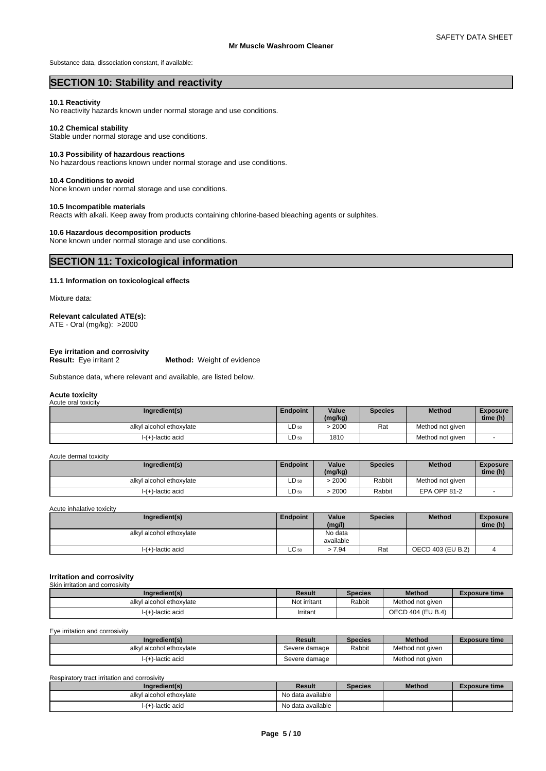Substance data, dissociation constant, if available:

### **SECTION 10: Stability and reactivity**

#### **10.1 Reactivity**

No reactivity hazards known under normal storage and use conditions.

#### **10.2 Chemical stability**

Stable under normal storage and use conditions.

#### **10.3 Possibility of hazardous reactions**

No hazardous reactions known under normal storage and use conditions.

#### **10.4 Conditions to avoid**

None known under normal storage and use conditions.

#### **10.5 Incompatible materials**

Reacts with alkali. Keep away from products containing chlorine-based bleaching agents or sulphites.

#### **10.6 Hazardous decomposition products**

None known under normal storage and use conditions.

### **SECTION 11: Toxicological information**

### **11.1 Information on toxicological effects**

Mixture data:

### **Relevant calculated ATE(s):**

ATE - Oral (mg/kg): >2000

# **Eye irritation and corrosivity**

**Method:** Weight of evidence

Substance data, where relevant and available, are listed below.

#### **Acute toxicity** Acute oral toxicity

| Ingredient(s)            | Endpoint  | Value<br>(mg/kg) | <b>Species</b> | <b>Method</b>    | Exposure<br>time (h) |
|--------------------------|-----------|------------------|----------------|------------------|----------------------|
| alkyl alcohol ethoxylate | $LD_{50}$ | 2000             | Rat            | Method not given |                      |
| I-(+)-lactic acid        | $LD_{50}$ | 1810             |                | Method not given |                      |

Acute dermal toxicity

| Ingredient(s)            | <b>Endpoint</b> | Value<br>(mg/kg) | Species | <b>Method</b>       | <b>Exposure</b><br>time (h) |
|--------------------------|-----------------|------------------|---------|---------------------|-----------------------------|
| alkyl alcohol ethoxylate | $LD_{50}$       | 2000             | Rabbit  | Method not given    |                             |
| $I-(+)$ -lactic acid     | $LD_{50}$       | 2000             | Rabbit  | <b>EPA OPP 81-2</b> |                             |

Acute inhalative toxicity

| Ingredient(s)            | Endpoint        | Value<br>(mg/l) | <b>Species</b> | <b>Method</b>     | <b>Exposure</b><br>time (h) |  |
|--------------------------|-----------------|-----------------|----------------|-------------------|-----------------------------|--|
| alkyl alcohol ethoxylate |                 | No data         |                |                   |                             |  |
|                          |                 | available       |                |                   |                             |  |
| $I-(+)$ -lactic acid     | $\sim$<br>LU 50 | 7.94            | Rat            | OECD 403 (EU B.2) |                             |  |

#### **Irritation and corrosivity** Skin irritation and corrosivity

| Ingredient(s)            | Result       | <b>Species</b> | <b>Method</b>     | <b>Exposure time</b> |
|--------------------------|--------------|----------------|-------------------|----------------------|
| alkyl alcohol ethoxylate | Not irritant | Rabbit         | Method not given  |                      |
| l-(+)-lactic acid        | Irritant     |                | OECD 404 (EU B.4) |                      |

Eye irritation and corrosivity

| Ingredient(s)            | Result        | <b>Species</b> | <b>Method</b>    | <b>Exposure time</b> |
|--------------------------|---------------|----------------|------------------|----------------------|
| alkyl alcohol ethoxylate | Severe damage | Rabbit         | Method not given |                      |
| $\vdash$ (+)-lactic acid | Severe damage |                | Method not given |                      |

#### Respiratory tract irritation and corrosivity

| Ingredient(s)            | Result            | <b>Species</b> | <b>Method</b> | Exposure time |
|--------------------------|-------------------|----------------|---------------|---------------|
| alkyl alcohol ethoxylate | No data available |                |               |               |
| l-(+)-lactic acid        | No data available |                |               |               |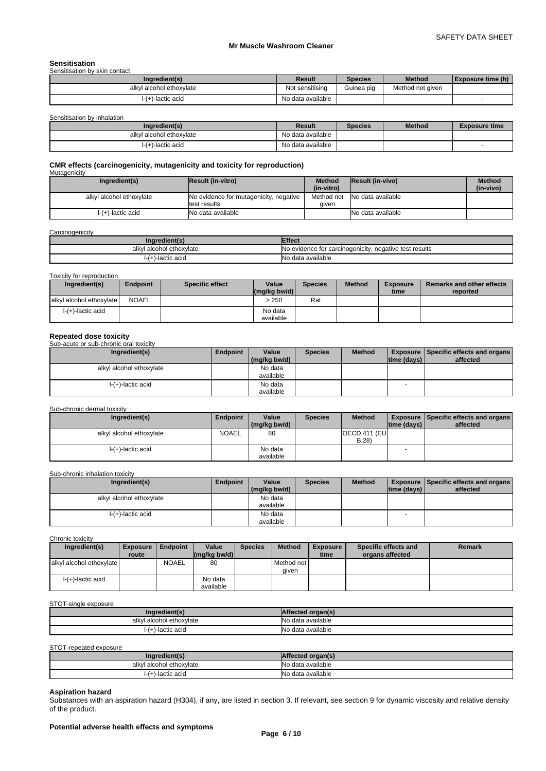#### **Sensitisation**

| Sensitisation by skin contact |                   |                |                  |                          |
|-------------------------------|-------------------|----------------|------------------|--------------------------|
| Ingredient(s)                 | Result            | <b>Species</b> | <b>Method</b>    | <b>Exposure time (h)</b> |
| alkyl alcohol ethoxylate      | Not sensitising   | Guinea pig     | Method not given |                          |
| l-(+)-lactic acid             | No data available |                |                  |                          |

Sensitisation by inhalation

| Ingredient(s)            | Result            | <b>Species</b> | <b>Method</b> | <b>Exposure time</b> |
|--------------------------|-------------------|----------------|---------------|----------------------|
| alkyl alcohol ethoxylate | No data available |                |               |                      |
| -)-lactic acid           | No data available |                |               |                      |

#### **CMR effects (carcinogenicity, mutagenicity and toxicity for reproduction) Mutagenicity**

| managomony               |                                        |               |                   |               |
|--------------------------|----------------------------------------|---------------|-------------------|---------------|
| Ingredient(s)            | <b>Result (in-vitro)</b>               | <b>Method</b> | Result (in-vivo)  | <b>Method</b> |
|                          |                                        | (in-vitro)    |                   | (in-vivo)     |
| alkyl alcohol ethoxylate | No evidence for mutagenicity, negative | Method not    | No data available |               |
|                          | test results                           | aiven         |                   |               |
| I-(+)-lactic acid        | No data available                      |               | No data available |               |
|                          |                                        |               |                   |               |

#### **Carcinogenicity**

| .nor<br>'edien'               | ttect                                                               |
|-------------------------------|---------------------------------------------------------------------|
| I alcohol ethoxvlate<br>alkvl | IN٢<br>v. negative test results<br>. evidence for carcinogenicity ر |
| -lactic acid                  | IN۲<br>available<br>$\sim$<br>uala                                  |

#### Toxicity for reproduction

| Ingredient(s)            | <b>Endpoint</b> | <b>Specific effect</b> | Value<br>$\left \frac{\text{mg}}{\text{kg}}\right $ bw/d) | <b>Species</b> | <b>Method</b> | <b>Exposure</b><br>time | <b>Remarks and other effects</b><br>reported |
|--------------------------|-----------------|------------------------|-----------------------------------------------------------|----------------|---------------|-------------------------|----------------------------------------------|
| alkyl alcohol ethoxylate | NOAEL           |                        | - 250                                                     | Rat            |               |                         |                                              |
| $\vdash$ (+)-lactic acid |                 |                        | No data<br>available                                      |                |               |                         |                                              |

**Repeated dose toxicity** Sub-acute or sub-chronic oral toxicity

| Ingredient(s)            | Endpoint | Value           | <b>Species</b> | <b>Method</b> |             | <b>Exposure Specific effects and organs</b> |  |
|--------------------------|----------|-----------------|----------------|---------------|-------------|---------------------------------------------|--|
|                          |          | $(mg/kg)$ bw/d) |                |               | time (days) | affected                                    |  |
| alkyl alcohol ethoxylate |          | No data         |                |               |             |                                             |  |
|                          |          | available       |                |               |             |                                             |  |
| I-(+)-lactic acid        |          | No data         |                |               |             |                                             |  |
|                          |          | available       |                |               |             |                                             |  |

#### Sub-chronic dermal toxicity

| Ingredient(s)            | Endpoint     | Value        | <b>Species</b> | <b>Method</b>         |                          | <b>Exposure Specific effects and organs</b> |
|--------------------------|--------------|--------------|----------------|-----------------------|--------------------------|---------------------------------------------|
|                          |              | (mg/kg bw/d) |                |                       | time (days)              | affected                                    |
| alkyl alcohol ethoxylate | <b>NOAEL</b> | 80           |                | <b>OECD 411 (EUI)</b> |                          |                                             |
|                          |              |              |                | B.28                  |                          |                                             |
| $I-(+)$ -lactic acid     |              | No data      |                |                       | $\overline{\phantom{a}}$ |                                             |
|                          |              | available    |                |                       |                          |                                             |

#### Sub-chronic inhalation toxicity

| Ingredient(s)            | <b>Endpoint</b> | Value        | <b>Species</b> | <b>Method</b> | <b>Exposure   Specific effects and organs  </b> |          |
|--------------------------|-----------------|--------------|----------------|---------------|-------------------------------------------------|----------|
|                          |                 | (mg/kg bw/d) |                |               | time (days)                                     | affected |
| alkyl alcohol ethoxylate |                 | No data      |                |               |                                                 |          |
|                          |                 | available    |                |               |                                                 |          |
| $I-(+)$ -lactic acid     |                 | No data      |                |               |                                                 |          |
|                          |                 | available    |                |               |                                                 |          |

Chronic toxicity

| Ingredient(s)            | <b>Exposure</b> | Endpoint     | Value                | <b>Species</b> | <b>Method</b>         | <b>Exposure</b> | Specific effects and | <b>Remark</b> |
|--------------------------|-----------------|--------------|----------------------|----------------|-----------------------|-----------------|----------------------|---------------|
|                          | route           |              | (ma/ka bw/d)         |                |                       | time            | organs affected      |               |
| alkyl alcohol ethoxylate |                 | <b>NOAEL</b> | 80                   |                | Method not I<br>aiven |                 |                      |               |
| I-(+)-lactic acid        |                 |              | No data<br>available |                |                       |                 |                      |               |

#### STOT-single exposure

| Ingredient(s)            | ffected organ(s).  |
|--------------------------|--------------------|
| alkyl alcohol ethoxylate | No data available  |
| (+)-lactic acid          | INo data available |

STOT-repeated exposure

| Ingredient(s)            | честес.           |
|--------------------------|-------------------|
| alkyl alcohol ethoxylate | No data available |
| lactic acid)-lactic      | No data available |

### **Aspiration hazard**

Substances with an aspiration hazard (H304), if any, are listed in section 3. If relevant, see section 9 for dynamic viscosity and relative density of the product.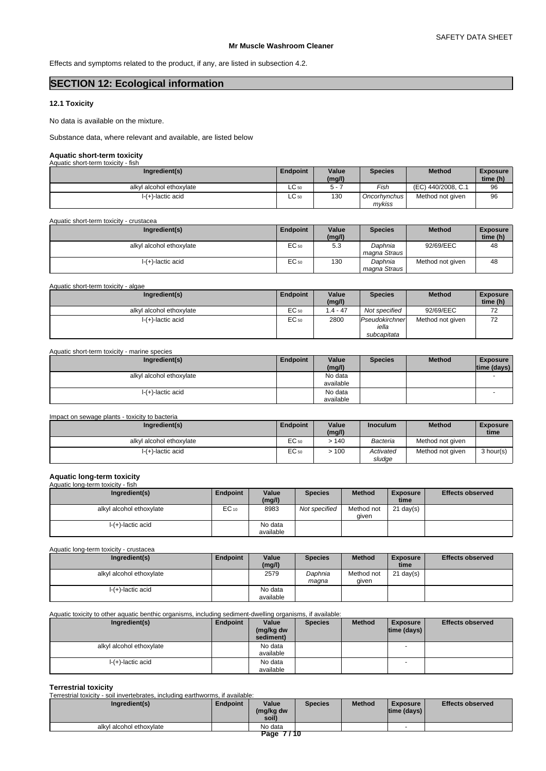Effects and symptoms related to the product, if any, are listed in subsection 4.2.

### **SECTION 12: Ecological information**

#### **12.1 Toxicity**

No data is available on the mixture.

Substance data, where relevant and available, are listed below

### **Aquatic short-term toxicity**

| Aquatic short-term toxicity - fish |                 |                 |                          |                    |                             |
|------------------------------------|-----------------|-----------------|--------------------------|--------------------|-----------------------------|
| Ingredient(s)                      | <b>Endpoint</b> | Value<br>(mg/l) | <b>Species</b>           | <b>Method</b>      | <b>Exposure</b><br>time (h) |
| alkyl alcohol ethoxylate           | $LC_{50}$       | 5 -             | Fish                     | (EC) 440/2008, C.1 | 96                          |
| I-(+)-lactic acid                  | $LC$ 50         | 130             | Oncorhynchus I<br>mvkiss | Method not given   | 96                          |

Aquatic short-term toxicity - crustacea

| Ingredient(s)            | Endpoint         | Value<br>(mg/l) | <b>Species</b>          | <b>Method</b>    | <b>Exposure</b><br>time (h) |
|--------------------------|------------------|-----------------|-------------------------|------------------|-----------------------------|
| alkyl alcohol ethoxylate | EC <sub>50</sub> | 5.3             | Daphnia<br>magna Straus | 92/69/EEC        | 48                          |
| $I-(+)$ -lactic acid     | EC <sub>50</sub> | 130             | Daphnia<br>magna Straus | Method not given | 48                          |

Aquatic short-term toxicity - algae

| Ingredient(s)            | Endpoint | Value<br>(mg/l) | Species                                | <b>Method</b>    | <b>Exposure</b><br>time (h) |
|--------------------------|----------|-----------------|----------------------------------------|------------------|-----------------------------|
| alkyl alcohol ethoxylate | EC 50    | $.4 - 47$       | Not specified                          | 92/69/EEC        | 70<br>∼                     |
| $I-(+)$ -lactic acid     | EC 50    | 2800            | Pseudokirchner<br>iella<br>subcapitata | Method not given | 72                          |

| Aquatic short-term toxicity - marine species |          |                      |                |               |                                 |  |  |  |
|----------------------------------------------|----------|----------------------|----------------|---------------|---------------------------------|--|--|--|
| Ingredient(s)                                | Endpoint | Value<br>(mg/l)      | <b>Species</b> | <b>Method</b> | <b>Exposure</b><br> time (days) |  |  |  |
| alkyl alcohol ethoxylate                     |          | No data<br>available |                |               |                                 |  |  |  |
| $I-(+)$ -lactic acid                         |          | No data<br>available |                |               |                                 |  |  |  |

| Impact on sewage plants - toxicity to bacteria |                  |                 |                     |                  |                         |  |  |
|------------------------------------------------|------------------|-----------------|---------------------|------------------|-------------------------|--|--|
| Ingredient(s)                                  | Endpoint         | Value<br>(mg/l) | <b>Inoculum</b>     | <b>Method</b>    | <b>Exposure</b><br>time |  |  |
| alkyl alcohol ethoxylate                       | EC <sub>50</sub> | >140            | Bacteria            | Method not given |                         |  |  |
| $I-(+)$ -lactic acid                           | EC <sub>50</sub> | >100            | Activated<br>sludge | Method not given | 3 hour(s)               |  |  |

# **Aquatic long-term toxicity** Aquatic long-term toxicity - fish

| Ingredient(s)            | Endpoint  | Value<br>(mg/l)      | <b>Species</b> | <b>Method</b>       | <b>Exposure</b><br>time | <b>Effects observed</b> |
|--------------------------|-----------|----------------------|----------------|---------------------|-------------------------|-------------------------|
| alkyl alcohol ethoxylate | $EC_{10}$ | 8983                 | Not specified  | Method not<br>aiven | $21 \text{ day}(s)$     |                         |
| $I-(+)$ -lactic acid     |           | No data<br>available |                |                     |                         |                         |

Aquatic long-term toxicity - crustacea

| Ingredient(s)            | Endpoint | Value<br>(mg/l)      | <b>Species</b>   | <b>Method</b>       | <b>Exposure</b><br>time | <b>Effects observed</b> |
|--------------------------|----------|----------------------|------------------|---------------------|-------------------------|-------------------------|
| alkyl alcohol ethoxylate |          | 2579                 | Daphnia<br>maana | Method not<br>aiven | $21 \text{ day}(s)$     |                         |
| $I-(+)$ -lactic acid     |          | No data<br>available |                  |                     |                         |                         |

#### Aquatic toxicity to other aquatic benthic organisms, including sediment-dwelling organisms, if available:

| Ingredient(s)            | Endpoint | Value<br>(mg/kg dw | <b>Species</b> | <b>Method</b> | <b>Exposure</b><br>$ time$ (days) $ $ | <b>Effects observed</b> |
|--------------------------|----------|--------------------|----------------|---------------|---------------------------------------|-------------------------|
|                          |          | sediment)          |                |               |                                       |                         |
| alkyl alcohol ethoxylate |          | No data            |                |               | -                                     |                         |
|                          |          | available          |                |               |                                       |                         |
| $I-(+)$ -lactic acid     |          | No data            |                |               | $\overline{\phantom{a}}$              |                         |
|                          |          | available          |                |               |                                       |                         |

**Terrestrial toxicity** Terrestrial toxicity - soil invertebrates, including earthworms, if available:

| Ingredient(s)            | Endpoint | Value<br>(mg/kg dw<br>soil) | <b>Species</b> | <b>Method</b> | Exposure<br> time (days) | <b>Effects observed</b> |
|--------------------------|----------|-----------------------------|----------------|---------------|--------------------------|-------------------------|
| alkyl alcohol ethoxylate |          | No data                     |                |               |                          |                         |
|                          |          | 7710<br>Page                |                |               |                          |                         |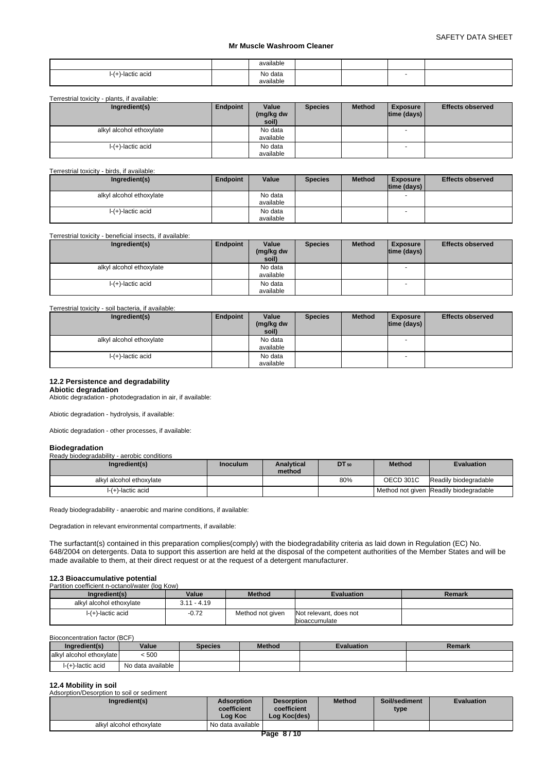|              | available            |  |  |
|--------------|----------------------|--|--|
| -lactic acid | No data<br>available |  |  |

Terrestrial toxicity - plants, if available:

| Ingredient(s)            | Endpoint | Value<br>(mg/kg dw<br>soil) | <b>Species</b> | <b>Method</b> | <b>Exposure</b><br>$ time$ (days) $ $ | <b>Effects observed</b> |
|--------------------------|----------|-----------------------------|----------------|---------------|---------------------------------------|-------------------------|
| alkyl alcohol ethoxylate |          | No data                     |                |               | $\overline{\phantom{a}}$              |                         |
|                          |          | available                   |                |               |                                       |                         |
| $I-(+)$ -lactic acid     |          | No data<br>available        |                |               | $\overline{\phantom{a}}$              |                         |

Terrestrial toxicity - birds, if available:

| Ingredient(s)            | Endpoint | Value                | <b>Species</b> | <b>Method</b> | <b>Exposure</b><br>$ time$ (days) $ $ | <b>Effects observed</b> |
|--------------------------|----------|----------------------|----------------|---------------|---------------------------------------|-------------------------|
| alkyl alcohol ethoxylate |          | No data<br>available |                |               |                                       |                         |
| $I-(+)$ -lactic acid     |          | No data              |                |               |                                       |                         |
|                          |          | available            |                |               |                                       |                         |

Terrestrial toxicity - beneficial insects, if available:

| Ingredient(s)            | Endpoint | Value                | <b>Species</b> | <b>Method</b> | <b>Exposure</b>          | <b>Effects observed</b> |
|--------------------------|----------|----------------------|----------------|---------------|--------------------------|-------------------------|
|                          |          | (mg/kg dw<br>soil)   |                |               | time (days)              |                         |
| alkyl alcohol ethoxylate |          | No data<br>available |                |               | $\overline{\phantom{a}}$ |                         |
| $I-(+)$ -lactic acid     |          | No data<br>available |                |               | $\overline{\phantom{a}}$ |                         |

#### Terrestrial toxicity - soil bacteria, if available:

| Ingredient(s)            | Endpoint | Value<br>(mg/kg dw<br>soil) | <b>Species</b> | <b>Method</b> | <b>Exposure</b><br>$ time$ (days) $ $ | <b>Effects observed</b> |
|--------------------------|----------|-----------------------------|----------------|---------------|---------------------------------------|-------------------------|
| alkyl alcohol ethoxylate |          | No data                     |                |               | $\overline{\phantom{a}}$              |                         |
|                          |          | available                   |                |               |                                       |                         |
| $I-(+)$ -lactic acid     |          | No data                     |                |               | <b>1</b>                              |                         |
|                          |          | available                   |                |               |                                       |                         |

#### **12.2 Persistence and degradability**

#### **Abiotic degradation**

Abiotic degradation - photodegradation in air, if available:

Abiotic degradation - hydrolysis, if available:

Abiotic degradation - other processes, if available:

#### **Biodegradation**

Ready biodegradability - aerobic conditions

| Ingredient(s)            | <b>Inoculum</b> | <b>Analytical</b><br>method | DT 50 | <b>Method</b>    | <b>Evaluation</b>                      |
|--------------------------|-----------------|-----------------------------|-------|------------------|----------------------------------------|
| alkyl alcohol ethoxylate |                 |                             | 80%   | <b>OECD 301C</b> | Readily biodegradable                  |
| I-(+)-lactic acid        |                 |                             |       |                  | Method not given Readily biodegradable |

Ready biodegradability - anaerobic and marine conditions, if available:

Degradation in relevant environmental compartments, if available:

The surfactant(s) contained in this preparation complies(comply) with the biodegradability criteria as laid down in Regulation (EC) No. 648/2004 on detergents. Data to support this assertion are held at the disposal of the competent authorities of the Member States and will be made available to them, at their direct request or at the request of a detergent manufacturer.

# **12.3 Bioaccumulative potential**

| Partition coefficient n-octanol/water (log Kow) |               |                  |                                                |        |  |  |  |  |  |
|-------------------------------------------------|---------------|------------------|------------------------------------------------|--------|--|--|--|--|--|
| Ingredient(s)                                   | Value         | <b>Method</b>    | <b>Evaluation</b>                              | Remark |  |  |  |  |  |
| alkyl alcohol ethoxylate                        | $3.11 - 4.19$ |                  |                                                |        |  |  |  |  |  |
| $I-(+)$ -lactic acid                            | $-0.72$       | Method not given | Not relevant, does not<br><b>bioaccumulate</b> |        |  |  |  |  |  |

Bioconcentration factor (BCF)

| Ingredient(s)            | Value             | <b>Species</b> | <b>Method</b> | <b>Evaluation</b> | Remark |
|--------------------------|-------------------|----------------|---------------|-------------------|--------|
| alkyl alcohol ethoxylate | < 500             |                |               |                   |        |
| $\vdash$ (+)-lactic acid | No data available |                |               |                   |        |

### **12.4 Mobility in soil**

| Adsorption/Desorption to soil or sediment |                                             |                                                  |               |                       |                   |
|-------------------------------------------|---------------------------------------------|--------------------------------------------------|---------------|-----------------------|-------------------|
| Ingredient(s)                             | <b>Adsorption</b><br>coefficient<br>Log Koc | <b>Desorption</b><br>coefficient<br>Log Koc(des) | <b>Method</b> | Soil/sediment<br>type | <b>Evaluation</b> |
| alkyl alcohol ethoxylate                  | No data available                           |                                                  |               |                       |                   |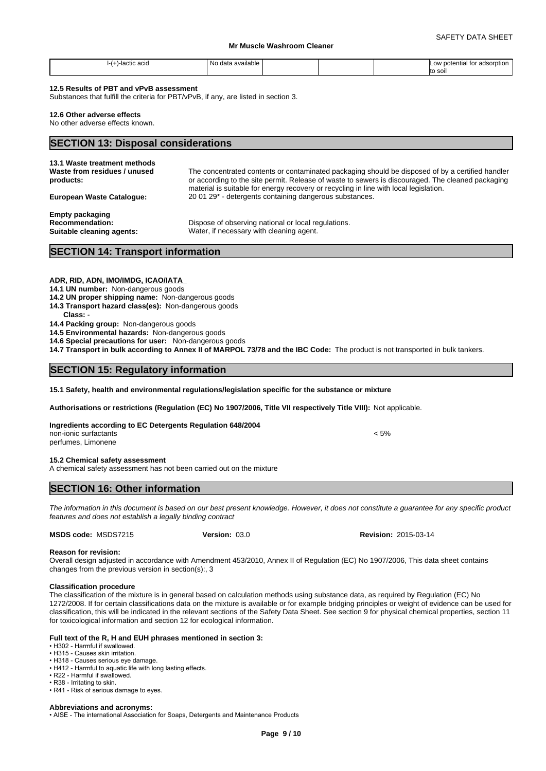| <sup>∴ ∴</sup> -lactic ac <sub>l</sub> u<br>. | .<br>-No<br>∘data available |  | v potential for adsorption<br><b>LOW</b> |  |
|-----------------------------------------------|-----------------------------|--|------------------------------------------|--|
|                                               |                             |  | to soil                                  |  |

#### **12.5 Results of PBT and vPvB assessment**

Substances that fulfill the criteria for PBT/vPvB, if any, are listed in section 3.

#### **12.6 Other adverse effects**

No other adverse effects known.

#### **SECTION 13: Disposal considerations**

| 13.1 Waste treatment methods                                                  |                                                                                                                                                                                                       |
|-------------------------------------------------------------------------------|-------------------------------------------------------------------------------------------------------------------------------------------------------------------------------------------------------|
| Waste from residues / unused<br>products:                                     | The concentrated contents or contaminated packaging should be disposed of by a certified handler<br>or according to the site permit. Release of waste to sewers is discouraged. The cleaned packaging |
|                                                                               | material is suitable for energy recovery or recycling in line with local legislation.                                                                                                                 |
| <b>European Waste Cataloque:</b>                                              | 20 01 29 <sup>*</sup> - detergents containing dangerous substances.                                                                                                                                   |
| <b>Empty packaging</b><br><b>Recommendation:</b><br>Suitable cleaning agents: | Dispose of observing national or local regulations.<br>Water, if necessary with cleaning agent.                                                                                                       |
|                                                                               |                                                                                                                                                                                                       |

## **SECTION 14: Transport information**

#### **ADR, RID, ADN, IMO/IMDG, ICAO/IATA**

#### **14.1 UN number:** Non-dangerous goods

- **14.2 UN proper shipping name:** Non-dangerous goods
- **14.3 Transport hazard class(es):** Non-dangerous goods
- **Class:** -

**14.4 Packing group:** Non-dangerous goods

**14.5 Environmental hazards:** Non-dangerous goods

**14.6 Special precautions for user:** Non-dangerous goods

**14.7 Transport in bulk according to Annex II of MARPOL 73/78 and the IBC Code:** The product is not transported in bulk tankers.

### **SECTION 15: Regulatory information**

**15.1 Safety, health and environmental regulations/legislation specific for the substance or mixture**

**Authorisations or restrictions (Regulation (EC) No 1907/2006, Title VII respectively Title VIII):** Not applicable.

**Ingredients according to EC Detergents Regulation 648/2004** non-ionic surfactants < 5%

perfumes, Limonene

#### **15.2 Chemical safety assessment**

A chemical safety assessment has not been carried out on the mixture

### **SECTION 16: Other information**

*The information in this document is based on our best present knowledge. However, it does not constitute a guarantee for any specific product features and does not establish a legally binding contract*

**MSDS code:** MSDS7215 **Version:** 03.0

**Version:** 03.0 **Revision:** 2015-03-14

#### **Reason for revision:**

Overall design adjusted in accordance with Amendment 453/2010, Annex II of Regulation (EC) No 1907/2006, This data sheet contains changes from the previous version in section(s):, 3

#### **Classification procedure**

The classification of the mixture is in general based on calculation methods using substance data, as required by Regulation (EC) No 1272/2008. If for certain classifications data on the mixture is available or for example bridging principles or weight of evidence can be used for classification, this will be indicated in the relevant sections of the Safety Data Sheet. See section 9 for physical chemical properties, section 11 for toxicological information and section 12 for ecological information.

# **Full text of the R, H and EUH phrases mentioned in section 3:**<br>• H302 - Harmful if swallowed.

- H315 Causes skin irritation.
- 
- H318 Causes serious eye damage.
- H412 Harmful to aquatic life with long lasting effects. • R22 - Harmful if swallowed.
- R38 Irritating to skin.
- R41 Risk of serious damage to eyes.

#### **Abbreviations and acronyms:**

• AISE - The international Association for Soaps, Detergents and Maintenance Products